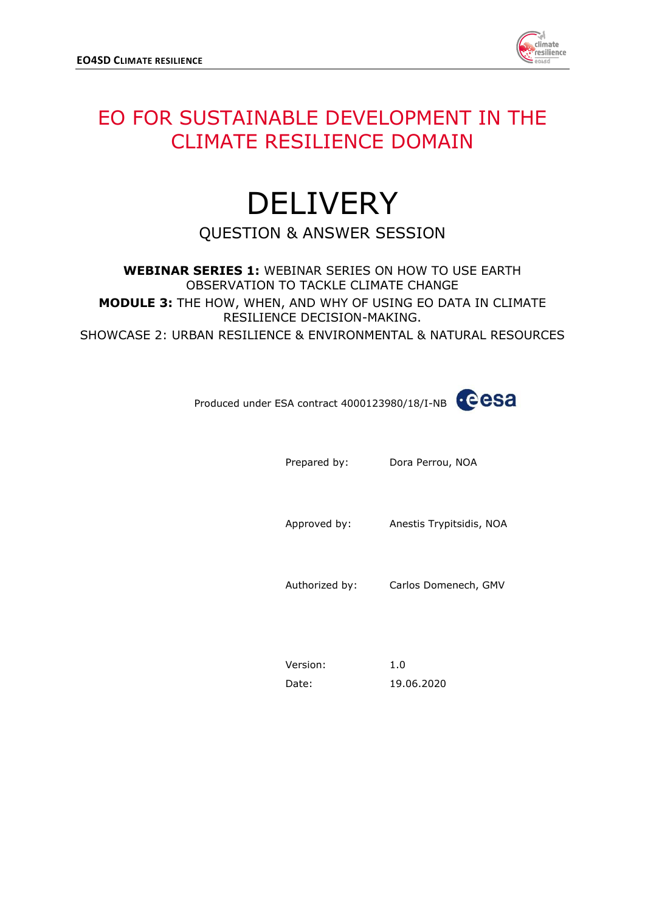

## EO FOR SUSTAINABLE DEVELOPMENT IN THE CLIMATE RESILIENCE DOMAIN

## DELIVERY QUESTION & ANSWER SESSION

**WEBINAR SERIES 1:** WEBINAR SERIES ON HOW TO USE EARTH OBSERVATION TO TACKLE CLIMATE CHANGE **MODULE 3:** THE HOW, WHEN, AND WHY OF USING EO DATA IN CLIMATE RESILIENCE DECISION-MAKING. SHOWCASE 2: URBAN RESILIENCE & ENVIRONMENTAL & NATURAL RESOURCES

Produced under ESA contract 4000123980/18/I-NB

Prepared by: Dora Perrou, NOA

Approved by: Anestis Trypitsidis, NOA

Authorized by: Carlos Domenech, GMV

| Version: | 1.0        |
|----------|------------|
| Date:    | 19.06.2020 |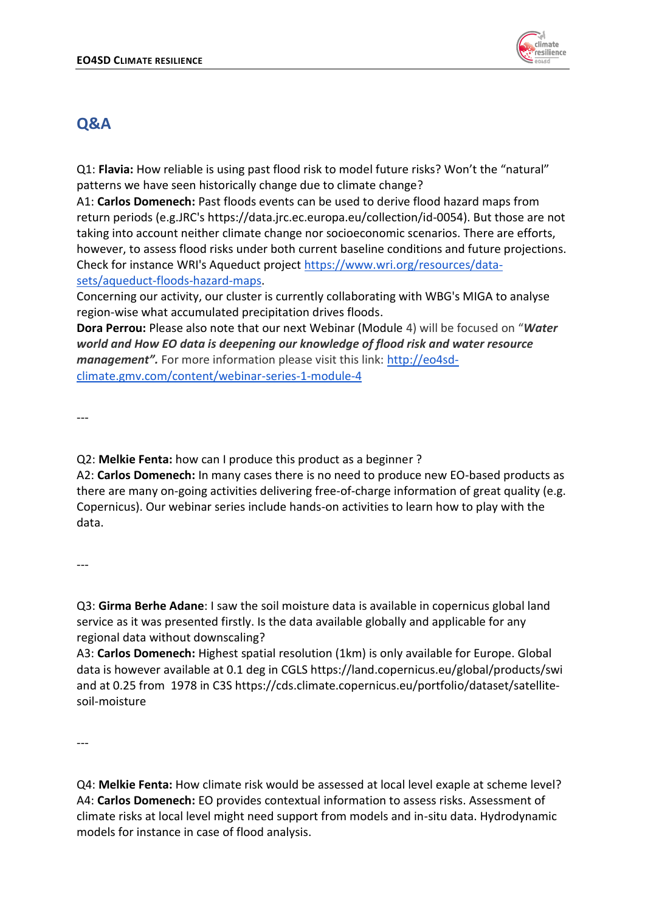

## **Q&A**

Q1: **Flavia:** How reliable is using past flood risk to model future risks? Won't the "natural" patterns we have seen historically change due to climate change?

A1: **Carlos Domenech:** Past floods events can be used to derive flood hazard maps from return periods (e.g.JRC's https://data.jrc.ec.europa.eu/collection/id-0054). But those are not taking into account neither climate change nor socioeconomic scenarios. There are efforts, however, to assess flood risks under both current baseline conditions and future projections. Check for instance WRI's Aqueduct project [https://www.wri.org/resources/data](https://www.wri.org/resources/data-sets/aqueduct-floods-hazard-maps)[sets/aqueduct-floods-hazard-maps.](https://www.wri.org/resources/data-sets/aqueduct-floods-hazard-maps)

Concerning our activity, our cluster is currently collaborating with WBG's MIGA to analyse region-wise what accumulated precipitation drives floods.

**Dora Perrou:** Please also note that our next Webinar (Module 4) will be focused on "*Water world and How EO data is deepening our knowledge of flood risk and water resource management".* For more information please visit this link: [http://eo4sd](http://eo4sd-climate.gmv.com/content/webinar-series-1-module-4)[climate.gmv.com/content/webinar-series-1-module-4](http://eo4sd-climate.gmv.com/content/webinar-series-1-module-4)

---

Q2: **Melkie Fenta:** how can I produce this product as a beginner ?

A2: **Carlos Domenech:** In many cases there is no need to produce new EO-based products as there are many on-going activities delivering free-of-charge information of great quality (e.g. Copernicus). Our webinar series include hands-on activities to learn how to play with the data.

---

Q3: **Girma Berhe Adane**: I saw the soil moisture data is available in copernicus global land service as it was presented firstly. Is the data available globally and applicable for any regional data without downscaling?

A3: **Carlos Domenech:** Highest spatial resolution (1km) is only available for Europe. Global data is however available at 0.1 deg in CGLS https://land.copernicus.eu/global/products/swi and at 0.25 from 1978 in C3S https://cds.climate.copernicus.eu/portfolio/dataset/satellitesoil-moisture

---

Q4: **Melkie Fenta:** How climate risk would be assessed at local level exaple at scheme level? A4: **Carlos Domenech:** EO provides contextual information to assess risks. Assessment of climate risks at local level might need support from models and in-situ data. Hydrodynamic models for instance in case of flood analysis.